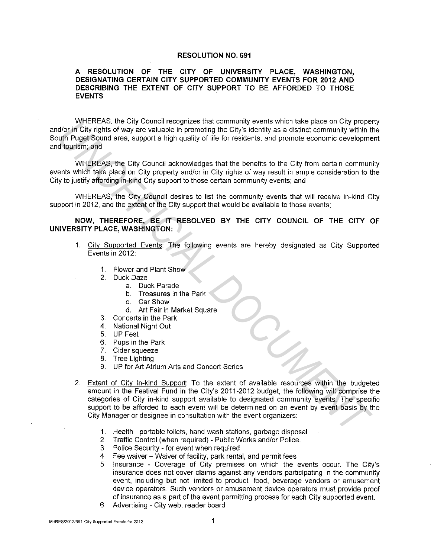## **RESOLUTION NO. 691**

## **A RESOLUTION OF THE CITY OF UNIVERSITY PLACE, WASHINGTON, DESIGNATING CERTAIN CITY SUPPORTED COMMUNITY EVENTS FOR 2012 AND DESCRIBING THE EXTENT OF CITY SUPPORT TO BE AFFORDED TO THOSE EVENTS**

WHEREAS, the City Council recognizes that community events which take place on City property and/or in City rights of way are valuable in promoting the City's identity as a distinct community within the South Puget Sound area, support a high quality of life for residents, and promote economic development and tourism; and

WHEREAS, the City Council acknowledges that the benefits to the City from certain community events which take place on City property and/or in City rights of way result in ample consideration to the City to justify affording in-kind City support to those certain community events; and

WHEREAS, the City Council desires to list the community events that will receive in-kind City support in 2012, and the extent of the City support that would be available to those events;

**NOW, THEREFORE, BE IT RESOLVED BY THE CITY COUNCIL OF THE CITY OF UNIVERSITY PLACE, WASHINGTON:** 

- 1. City Supported Events: The following events are hereby designated as City Supported Events in 2012:
	- 1. Flower and Plant Show
	- 2. Duck Daze
		- a. Duck Parade
		- b. Treasures in the Park
		- c. Car Show
		- d. Art Fair in Market Square
	- 3. Concerts in the Park
	- 4. National Night Out
	- 5. UP Fest
	- 6. Pups in the Park
	- 7. Cider squeeze
	- 8. Tree Lighting
	- 9. UP for Art Atrium Arts and Concert Series
- 2. Extent of City In-kind Support: To the extent of available resources within the budgeted amount in the Festival Fund **in** the City's 2011-2012 budget, the following will comprise the categories of City in-kind support available to designated community events. The specific support to be afforded to each event will be determined on an event by event basis by the City Manager or designee in consultation with the event organizers: **UNEREAS, the City Council estable in promoting we want at equals and the particular documentation with the particle of UNI (INC) in City in the stable in promoting the City is detailed community within the particle of the** 
	- **1.** Health portable toilets, hand wash stations, garbage disposal
	- 2. Traffic Control (when required) Public Works and/or Police.
	- 3. Police Security for event when required
	- 4. Fee waiver Waiver of facility, park rental, and permit fees
	- 5. Insurance Coverage of City premises on which the events occur. The City's insurance does not cover claims against any vendors participating in the community event, including but not limited to product, food, beverage vendors or amusement device operators. Such vendors or amusement device operators must provide proof of insurance as a part of the event permitting process for each City supported event.
	- 6. Advertising City web, reader board